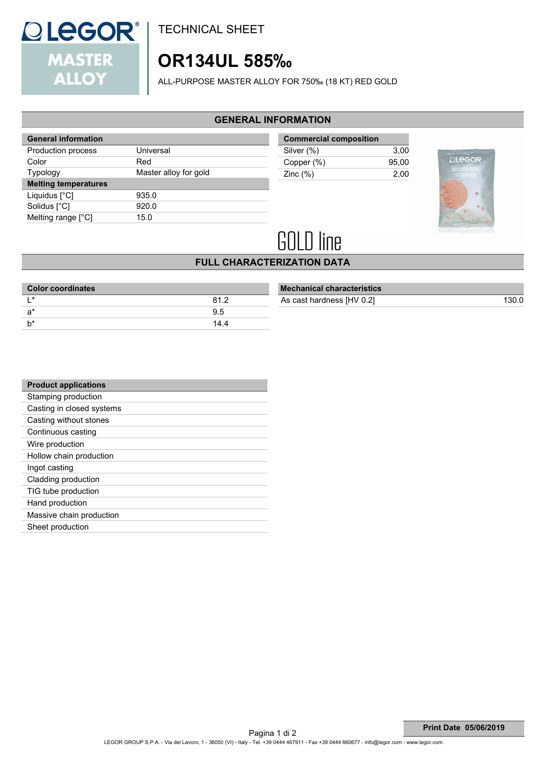

TECHNICAL SHEET

## **OR134UL 585‰**

ALL-PURPOSE MASTER ALLOY FOR 750‰ (18 KT) RED GOLD

### **GENERAL INFORMATION**

| <b>General information</b>  |                       |
|-----------------------------|-----------------------|
| Production process          | Universal             |
| Color                       | Red                   |
| Typology                    | Master alloy for gold |
| <b>Melting temperatures</b> |                       |
| Liquidus $[^{\circ}C]$      | 935.0                 |
| Solidus [°C]                | 920.0                 |
| Melting range [°C]          | 15.0                  |

| <b>Commercial composition</b> |       |  |
|-------------------------------|-------|--|
| Silver (%)                    | 3.00  |  |
| Copper (%)                    | 95.00 |  |
| Zinc $(\%)$                   | 2.00  |  |



# **GOLD line**

### **FULL CHARACTERIZATION DATA**

| <b>Color coordinates</b> |      |
|--------------------------|------|
| <b>∣ *</b>               | 812  |
| a*                       | 95   |
|                          | 14.4 |
|                          |      |

| <b>Mechanical characteristics</b> |       |
|-----------------------------------|-------|
| As cast hardness [HV 0.2]         | 130.0 |